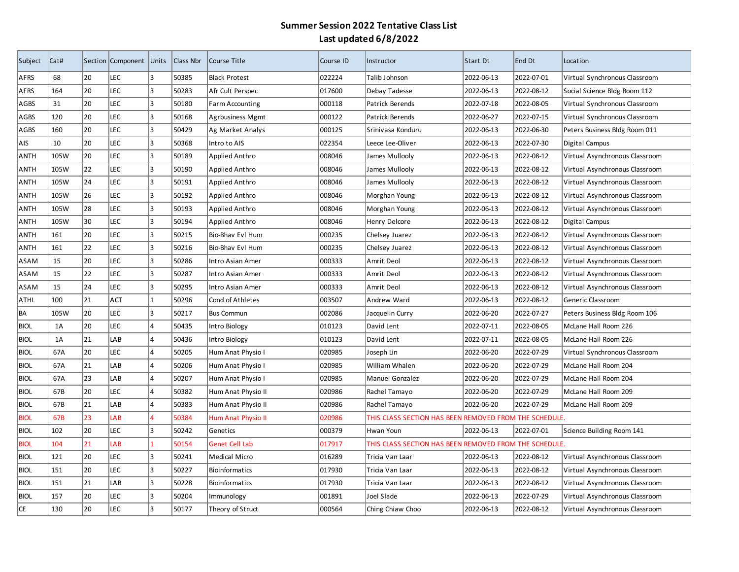| Subject     | Cat# |    | Section Component Units |                | Class Nbr | Course Title            | Course ID | Instructor                                             | Start Dt   | End Dt     | Location                       |
|-------------|------|----|-------------------------|----------------|-----------|-------------------------|-----------|--------------------------------------------------------|------------|------------|--------------------------------|
| AFRS        | 68   | 20 | LEC                     | lз             | 50385     | <b>Black Protest</b>    | 022224    | Talib Johnson                                          | 2022-06-13 | 2022-07-01 | Virtual Synchronous Classroom  |
| AFRS        | 164  | 20 | LEC                     | l3.            | 50283     | Afr Cult Perspec        | 017600    | Debay Tadesse                                          | 2022-06-13 | 2022-08-12 | Social Science Bldg Room 112   |
| AGBS        | 31   | 20 | LEC                     | 3              | 50180     | <b>Farm Accounting</b>  | 000118    | Patrick Berends                                        | 2022-07-18 | 2022-08-05 | Virtual Synchronous Classroom  |
| AGBS        | 120  | 20 | LEC                     | lз             | 50168     | <b>Agrbusiness Mgmt</b> | 000122    | Patrick Berends                                        | 2022-06-27 | 2022-07-15 | Virtual Synchronous Classroom  |
| AGBS        | 160  | 20 | LEC                     | lз             | 50429     | Ag Market Analys        | 000125    | Srinivasa Konduru                                      | 2022-06-13 | 2022-06-30 | Peters Business Bldg Room 011  |
| AIS         | 10   | 20 | LEC                     | 3              | 50368     | Intro to AIS            | 022354    | Leece Lee-Oliver                                       | 2022-06-13 | 2022-07-30 | Digital Campus                 |
| ANTH        | 105W | 20 | LEC                     | 3              | 50189     | Applied Anthro          | 008046    | James Mullooly                                         | 2022-06-13 | 2022-08-12 | Virtual Asynchronous Classroom |
| ANTH        | 105W | 22 | LEC                     | 3              | 50190     | Applied Anthro          | 008046    | James Mullooly                                         | 2022-06-13 | 2022-08-12 | Virtual Asynchronous Classroom |
| ANTH        | 105W | 24 | LEC                     | 3              | 50191     | Applied Anthro          | 008046    | James Mullooly                                         | 2022-06-13 | 2022-08-12 | Virtual Asynchronous Classroom |
| ANTH        | 105W | 26 | LEC                     | 3              | 50192     | Applied Anthro          | 008046    | Morghan Young                                          | 2022-06-13 | 2022-08-12 | Virtual Asynchronous Classroom |
| <b>ANTH</b> | 105W | 28 | LEC                     | 3              | 50193     | Applied Anthro          | 008046    | Morghan Young                                          | 2022-06-13 | 2022-08-12 | Virtual Asynchronous Classroom |
| <b>ANTH</b> | 105W | 30 | LEC                     | 3              | 50194     | Applied Anthro          | 008046    | Henry Delcore                                          | 2022-06-13 | 2022-08-12 | Digital Campus                 |
| <b>ANTH</b> | 161  | 20 | LEC                     | l3.            | 50215     | Bio-Bhav Evl Hum        | 000235    | Chelsey Juarez                                         | 2022-06-13 | 2022-08-12 | Virtual Asynchronous Classroom |
| ANTH        | 161  | 22 | LEC                     | 3              | 50216     | Bio-Bhav Evl Hum        | 000235    | Chelsey Juarez                                         | 2022-06-13 | 2022-08-12 | Virtual Asynchronous Classroom |
| ASAM        | 15   | 20 | <b>LEC</b>              | lз             | 50286     | Intro Asian Amer        | 000333    | Amrit Deol                                             | 2022-06-13 | 2022-08-12 | Virtual Asynchronous Classroom |
| ASAM        | 15   | 22 | LEC                     | l3.            | 50287     | Intro Asian Amer        | 000333    | Amrit Deol                                             | 2022-06-13 | 2022-08-12 | Virtual Asynchronous Classroom |
| ASAM        | 15   | 24 | LEC                     | lз             | 50295     | Intro Asian Amer        | 000333    | Amrit Deol                                             | 2022-06-13 | 2022-08-12 | Virtual Asynchronous Classroom |
| <b>ATHL</b> | 100  | 21 | ACT                     | 1              | 50296     | Cond of Athletes        | 003507    | Andrew Ward                                            | 2022-06-13 | 2022-08-12 | Generic Classroom              |
| BA          | 105W | 20 | LEC                     | l3             | 50217     | <b>Bus Commun</b>       | 002086    | Jacquelin Curry                                        | 2022-06-20 | 2022-07-27 | Peters Business Bldg Room 106  |
| <b>BIOL</b> | 1A   | 20 | LEC                     | 4              | 50435     | Intro Biology           | 010123    | David Lent                                             | 2022-07-11 | 2022-08-05 | McLane Hall Room 226           |
| <b>BIOL</b> | 1A   | 21 | LAB                     | 4              | 50436     | Intro Biology           | 010123    | David Lent                                             | 2022-07-11 | 2022-08-05 | McLane Hall Room 226           |
| <b>BIOL</b> | 67A  | 20 | LEC                     | 4              | 50205     | Hum Anat Physio I       | 020985    | Joseph Lin                                             | 2022-06-20 | 2022-07-29 | Virtual Synchronous Classroom  |
| <b>BIOL</b> | 67A  | 21 | LAB                     | 4              | 50206     | Hum Anat Physio I       | 020985    | William Whalen                                         | 2022-06-20 | 2022-07-29 | McLane Hall Room 204           |
| <b>BIOL</b> | 67A  | 23 | LAB                     | l4             | 50207     | Hum Anat Physio I       | 020985    | Manuel Gonzalez                                        | 2022-06-20 | 2022-07-29 | McLane Hall Room 204           |
| <b>BIOL</b> | 67B  | 20 | LEC                     | l4             | 50382     | Hum Anat Physio II      | 020986    | Rachel Tamayo                                          | 2022-06-20 | 2022-07-29 | McLane Hall Room 209           |
| <b>BIOL</b> | 67B  | 21 | LAB                     | 4              | 50383     | Hum Anat Physio II      | 020986    | Rachel Tamayo                                          | 2022-06-20 | 2022-07-29 | McLane Hall Room 209           |
| <b>BIOL</b> | 67B  | 23 | LAB                     | $\overline{a}$ | 50384     | Hum Anat Physio II      | 020986    | THIS CLASS SECTION HAS BEEN REMOVED FROM THE SCHEDULE. |            |            |                                |
| <b>BIOL</b> | 102  | 20 | LEC                     | 3              | 50242     | Genetics                | 000379    | Hwan Youn                                              | 2022-06-13 | 2022-07-01 | Science Building Room 141      |
| <b>BIOL</b> | 104  | 21 | LAB                     | $\mathbf{1}$   | 50154     | Genet Cell Lab          | 017917    | THIS CLASS SECTION HAS BEEN REMOVED FROM THE SCHEDULE. |            |            |                                |
| <b>BIOL</b> | 121  | 20 | LEC                     | 3              | 50241     | Medical Micro           | 016289    | Tricia Van Laar                                        | 2022-06-13 | 2022-08-12 | Virtual Asynchronous Classroom |
| <b>BIOL</b> | 151  | 20 | LEC                     | 3              | 50227     | Bioinformatics          | 017930    | Tricia Van Laar                                        | 2022-06-13 | 2022-08-12 | Virtual Asynchronous Classroom |
| <b>BIOL</b> | 151  | 21 | LAB                     | 3              | 50228     | Bioinformatics          | 017930    | Tricia Van Laar                                        | 2022-06-13 | 2022-08-12 | Virtual Asynchronous Classroom |
| <b>BIOL</b> | 157  | 20 | LEC                     | 3              | 50204     | Immunology              | 001891    | Joel Slade                                             | 2022-06-13 | 2022-07-29 | Virtual Asynchronous Classroom |
| CE          | 130  | 20 | LEC                     | l3             | 50177     | Theory of Struct        | 000564    | Ching Chiaw Choo                                       | 2022-06-13 | 2022-08-12 | Virtual Asynchronous Classroom |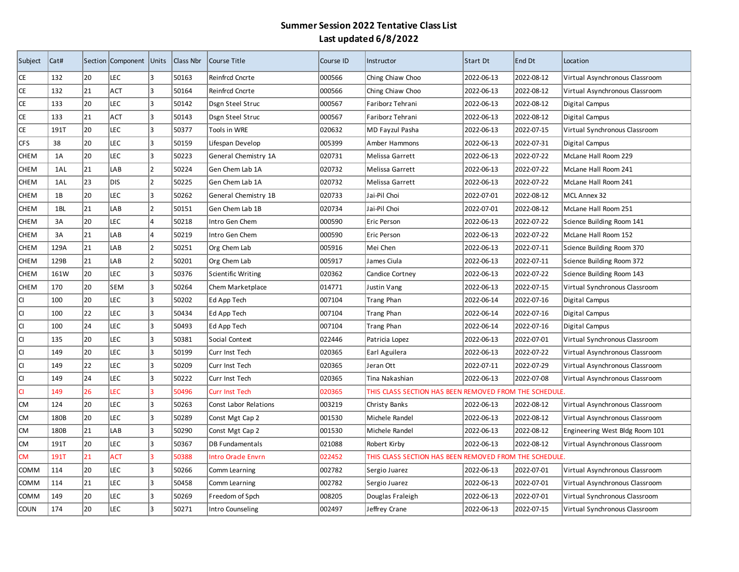| Subject     | Cat# |    | Section Component Units |     | Class Nbr | Course Title              | Course ID | Instructor                                             | Start Dt   | End Dt     | Location                       |
|-------------|------|----|-------------------------|-----|-----------|---------------------------|-----------|--------------------------------------------------------|------------|------------|--------------------------------|
| CE          | 132  | 20 | LEC                     | lз  | 50163     | Reinfrcd Cncrte           | 000566    | Ching Chiaw Choo                                       | 2022-06-13 | 2022-08-12 | Virtual Asynchronous Classroom |
| CE          | 132  | 21 | ACT                     | l3  | 50164     | Reinfrcd Cncrte           | 000566    | Ching Chiaw Choo                                       | 2022-06-13 | 2022-08-12 | Virtual Asynchronous Classroom |
| CE          | 133  | 20 | LEC                     | l3  | 50142     | Dsgn Steel Struc          | 000567    | Fariborz Tehrani                                       | 2022-06-13 | 2022-08-12 | Digital Campus                 |
| CE          | 133  | 21 | <b>ACT</b>              | 3   | 50143     | Dsgn Steel Struc          | 000567    | Fariborz Tehrani                                       | 2022-06-13 | 2022-08-12 | Digital Campus                 |
| CE          | 191T | 20 | LEC                     | 3   | 50377     | Tools in WRE              | 020632    | MD Fayzul Pasha                                        | 2022-06-13 | 2022-07-15 | Virtual Synchronous Classroom  |
| <b>CFS</b>  | 38   | 20 | LEC                     | 3   | 50159     | Lifespan Develop          | 005399    | Amber Hammons                                          | 2022-06-13 | 2022-07-31 | Digital Campus                 |
| <b>CHEM</b> | 1A   | 20 | LEC                     | 3   | 50223     | General Chemistry 1A      | 020731    | Melissa Garrett                                        | 2022-06-13 | 2022-07-22 | McLane Hall Room 229           |
| <b>CHEM</b> | 1AL  | 21 | LAB                     | 2   | 50224     | Gen Chem Lab 1A           | 020732    | Melissa Garrett                                        | 2022-06-13 | 2022-07-22 | McLane Hall Room 241           |
| <b>CHEM</b> | 1AL  | 23 | <b>DIS</b>              | 2   | 50225     | Gen Chem Lab 1A           | 020732    | Melissa Garrett                                        | 2022-06-13 | 2022-07-22 | McLane Hall Room 241           |
| <b>CHEM</b> | 1B   | 20 | LEC                     | 3   | 50262     | General Chemistry 1B      | 020733    | Jai-Pil Choi                                           | 2022-07-01 | 2022-08-12 | MCL Annex 32                   |
| <b>CHEM</b> | 1BL  | 21 | LAB                     | 2   | 50151     | Gen Chem Lab 1B           | 020734    | Jai-Pil Choi                                           | 2022-07-01 | 2022-08-12 | McLane Hall Room 251           |
| <b>CHEM</b> | 3A   | 20 | LEC                     | 4   | 50218     | Intro Gen Chem            | 000590    | Eric Person                                            | 2022-06-13 | 2022-07-22 | Science Building Room 141      |
| <b>CHEM</b> | 3A   | 21 | LAB                     | l4  | 50219     | Intro Gen Chem            | 000590    | Eric Person                                            | 2022-06-13 | 2022-07-22 | McLane Hall Room 152           |
| <b>CHEM</b> | 129A | 21 | LAB                     | 2   | 50251     | Org Chem Lab              | 005916    | Mei Chen                                               | 2022-06-13 | 2022-07-11 | Science Building Room 370      |
| <b>CHEM</b> | 129B | 21 | LAB                     | 2   | 50201     | Org Chem Lab              | 005917    | James Ciula                                            | 2022-06-13 | 2022-07-11 | Science Building Room 372      |
| <b>CHEM</b> | 161W | 20 | LEC                     | lз  | 50376     | Scientific Writing        | 020362    | Candice Cortney                                        | 2022-06-13 | 2022-07-22 | Science Building Room 143      |
| <b>CHEM</b> | 170  | 20 | <b>SEM</b>              | lз  | 50264     | Chem Marketplace          | 014771    | <b>Justin Vang</b>                                     | 2022-06-13 | 2022-07-15 | Virtual Synchronous Classroom  |
| lCI.        | 100  | 20 | LEC                     | 3   | 50202     | Ed App Tech               | 007104    | <b>Trang Phan</b>                                      | 2022-06-14 | 2022-07-16 | Digital Campus                 |
| lcı         | 100  | 22 | LEC                     | 3   | 50434     | Ed App Tech               | 007104    | <b>Trang Phan</b>                                      | 2022-06-14 | 2022-07-16 | Digital Campus                 |
| lCI.        | 100  | 24 | LEC                     | 3   | 50493     | Ed App Tech               | 007104    | <b>Trang Phan</b>                                      | 2022-06-14 | 2022-07-16 | Digital Campus                 |
| lCI         | 135  | 20 | LEC                     | 3   | 50381     | Social Context            | 022446    | Patricia Lopez                                         | 2022-06-13 | 2022-07-01 | Virtual Synchronous Classroom  |
| CI.         | 149  | 20 | LEC                     | lз  | 50199     | Curr Inst Tech            | 020365    | Earl Aguilera                                          | 2022-06-13 | 2022-07-22 | Virtual Asynchronous Classroom |
| lcı         | 149  | 22 | LEC                     | lз  | 50209     | Curr Inst Tech            | 020365    | Jeran Ott                                              | 2022-07-11 | 2022-07-29 | Virtual Asynchronous Classroom |
| lcı         | 149  | 24 | LEC                     | l3  | 50222     | Curr Inst Tech            | 020365    | Tina Nakashian                                         | 2022-06-13 | 2022-07-08 | Virtual Asynchronous Classroom |
| lcı         | 149  | 26 | LEC                     | l3. | 50496     | <b>Curr Inst Tech</b>     | 020365    | THIS CLASS SECTION HAS BEEN REMOVED FROM THE SCHEDULE. |            |            |                                |
| <b>CM</b>   | 124  | 20 | LEC                     | l3  | 50263     | Const Labor Relations     | 003219    | Christy Banks                                          | 2022-06-13 | 2022-08-12 | Virtual Asynchronous Classroom |
| <b>CM</b>   | 180B | 20 | LEC                     | l3  | 50289     | Const Mgt Cap 2           | 001530    | Michele Randel                                         | 2022-06-13 | 2022-08-12 | Virtual Asynchronous Classroom |
| <b>CM</b>   | 180B | 21 | LAB                     | 3   | 50290     | Const Mgt Cap 2           | 001530    | Michele Randel                                         | 2022-06-13 | 2022-08-12 | Engineering West Bldg Room 101 |
| CM          | 191T | 20 | LEC                     | 3   | 50367     | <b>DB Fundamentals</b>    | 021088    | Robert Kirby                                           | 2022-06-13 | 2022-08-12 | Virtual Asynchronous Classroom |
| <b>CM</b>   | 191T | 21 | <b>ACT</b>              | Iз  | 50388     | <b>Intro Oracle Envrn</b> | 022452    | THIS CLASS SECTION HAS BEEN REMOVED FROM THE SCHEDULE. |            |            |                                |
| COMM        | 114  | 20 | LEC                     | 3   | 50266     | Comm Learning             | 002782    | Sergio Juarez                                          | 2022-06-13 | 2022-07-01 | Virtual Asynchronous Classroom |
| COMM        | 114  | 21 | LEC                     | 3   | 50458     | Comm Learning             | 002782    | Sergio Juarez                                          | 2022-06-13 | 2022-07-01 | Virtual Asynchronous Classroom |
| COMM        | 149  | 20 | LEC                     | 3   | 50269     | Freedom of Spch           | 008205    | Douglas Fraleigh                                       | 2022-06-13 | 2022-07-01 | Virtual Synchronous Classroom  |
| <b>COUN</b> | 174  | 20 | LEC                     | 3   | 50271     | Intro Counseling          | 002497    | Jeffrey Crane                                          | 2022-06-13 | 2022-07-15 | Virtual Synchronous Classroom  |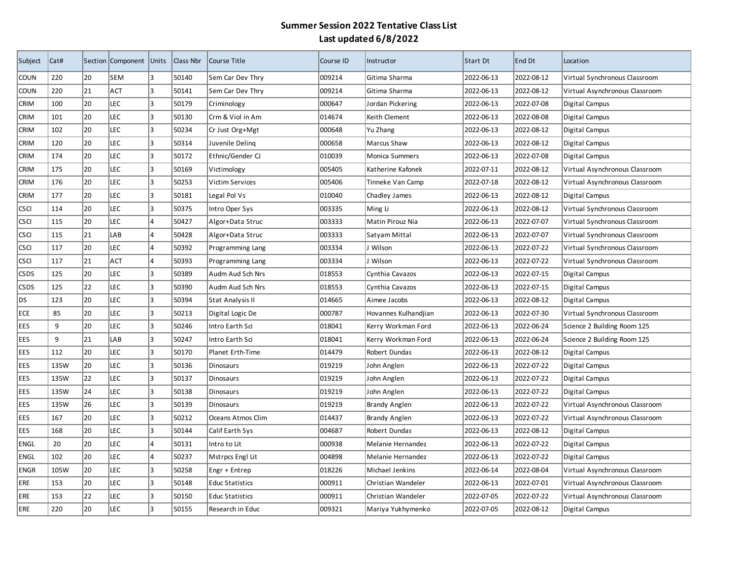| Subject     | Cat# |    | Section Component Units |    | Class Nbr | Course Title           | Course ID | Instructor           | Start Dt   | End Dt     | Location                       |
|-------------|------|----|-------------------------|----|-----------|------------------------|-----------|----------------------|------------|------------|--------------------------------|
| <b>COUN</b> | 220  | 20 | <b>SEM</b>              | lз | 50140     | Sem Car Dev Thry       | 009214    | Gitima Sharma        | 2022-06-13 | 2022-08-12 | Virtual Synchronous Classroom  |
| <b>COUN</b> | 220  | 21 | ACT                     | l3 | 50141     | Sem Car Dev Thry       | 009214    | Gitima Sharma        | 2022-06-13 | 2022-08-12 | Virtual Asynchronous Classroom |
| <b>CRIM</b> | 100  | 20 | LEC                     | lз | 50179     | Criminology            | 000647    | Jordan Pickering     | 2022-06-13 | 2022-07-08 | Digital Campus                 |
| <b>CRIM</b> | 101  | 20 | LEC                     | 3  | 50130     | Crm & Viol in Am       | 014674    | Keith Clement        | 2022-06-13 | 2022-08-08 | Digital Campus                 |
| <b>CRIM</b> | 102  | 20 | LEC                     | 3  | 50234     | Cr Just Org+Mgt        | 000648    | Yu Zhang             | 2022-06-13 | 2022-08-12 | Digital Campus                 |
| <b>CRIM</b> | 120  | 20 | LEC                     | 3  | 50314     | Juvenile Deling        | 000658    | Marcus Shaw          | 2022-06-13 | 2022-08-12 | Digital Campus                 |
| <b>CRIM</b> | 174  | 20 | LEC                     | 3  | 50172     | Ethnic/Gender CJ       | 010039    | Monica Summers       | 2022-06-13 | 2022-07-08 | Digital Campus                 |
| <b>CRIM</b> | 175  | 20 | LEC                     | 3  | 50169     | Victimology            | 005405    | Katherine Kafonek    | 2022-07-11 | 2022-08-12 | Virtual Asynchronous Classroom |
| <b>CRIM</b> | 176  | 20 | LEC                     | 3  | 50253     | Victim Services        | 005406    | Tinneke Van Camp     | 2022-07-18 | 2022-08-12 | Virtual Asynchronous Classroom |
| <b>CRIM</b> | 177  | 20 | LEC                     | 3  | 50181     | Legal Pol Vs           | 010040    | Chadley James        | 2022-06-13 | 2022-08-12 | Digital Campus                 |
| <b>CSCI</b> | 114  | 20 | LEC                     | l3 | 50375     | Intro Oper Sys         | 003335    | Ming Li              | 2022-06-13 | 2022-08-12 | Virtual Synchronous Classroom  |
| <b>CSCI</b> | 115  | 20 | LEC                     | 4  | 50427     | Algor+Data Struc       | 003333    | Matin Pirouz Nia     | 2022-06-13 | 2022-07-07 | Virtual Synchronous Classroom  |
| <b>CSCI</b> | 115  | 21 | LAB                     | l4 | 50428     | Algor+Data Struc       | 003333    | Satyam Mittal        | 2022-06-13 | 2022-07-07 | Virtual Synchronous Classroom  |
| <b>CSCI</b> | 117  | 20 | LEC                     | l4 | 50392     | Programming Lang       | 003334    | J Wilson             | 2022-06-13 | 2022-07-22 | Virtual Synchronous Classroom  |
| <b>CSCI</b> | 117  | 21 | <b>ACT</b>              | 4  | 50393     | Programming Lang       | 003334    | J Wilson             | 2022-06-13 | 2022-07-22 | Virtual Synchronous Classroom  |
| CSDS        | 125  | 20 | LEC                     | lз | 50389     | Audm Aud Sch Nrs       | 018553    | Cynthia Cavazos      | 2022-06-13 | 2022-07-15 | Digital Campus                 |
| <b>CSDS</b> | 125  | 22 | LEC                     | lз | 50390     | Audm Aud Sch Nrs       | 018553    | Cynthia Cavazos      | 2022-06-13 | 2022-07-15 | Digital Campus                 |
| DS          | 123  | 20 | LEC                     | 3  | 50394     | Stat Analysis II       | 014665    | Aimee Jacobs         | 2022-06-13 | 2022-08-12 | Digital Campus                 |
| <b>ECE</b>  | 85   | 20 | LEC                     | 3  | 50213     | Digital Logic De       | 000787    | Hovannes Kulhandjian | 2022-06-13 | 2022-07-30 | Virtual Synchronous Classroom  |
| EES         | 9    | 20 | LEC                     | 3  | 50246     | Intro Earth Sci        | 018041    | Kerry Workman Ford   | 2022-06-13 | 2022-06-24 | Science 2 Building Room 125    |
| EES         | 9    | 21 | LAB                     | 3  | 50247     | Intro Earth Sci        | 018041    | Kerry Workman Ford   | 2022-06-13 | 2022-06-24 | Science 2 Building Room 125    |
| EES         | 112  | 20 | LEC                     | lз | 50170     | Planet Erth-Time       | 014479    | Robert Dundas        | 2022-06-13 | 2022-08-12 | Digital Campus                 |
| EES         | 135W | 20 | LEC                     | lз | 50136     | <b>Dinosaurs</b>       | 019219    | John Anglen          | 2022-06-13 | 2022-07-22 | Digital Campus                 |
| EES         | 135W | 22 | LEC                     | l3 | 50137     | Dinosaurs              | 019219    | John Anglen          | 2022-06-13 | 2022-07-22 | Digital Campus                 |
| EES         | 135W | 24 | <b>LEC</b>              | l3 | 50138     | <b>Dinosaurs</b>       | 019219    | John Anglen          | 2022-06-13 | 2022-07-22 | Digital Campus                 |
| EES         | 135W | 26 | LEC                     | 3  | 50139     | Dinosaurs              | 019219    | <b>Brandy Anglen</b> | 2022-06-13 | 2022-07-22 | Virtual Asynchronous Classroom |
| EES         | 167  | 20 | LEC                     | l3 | 50212     | Oceans Atmos Clim      | 014437    | <b>Brandy Anglen</b> | 2022-06-13 | 2022-07-22 | Virtual Asynchronous Classroom |
| EES         | 168  | 20 | LEC                     | 3  | 50144     | Calif Earth Sys        | 004687    | Robert Dundas        | 2022-06-13 | 2022-08-12 | Digital Campus                 |
| <b>ENGL</b> | 20   | 20 | LEC                     | 4  | 50131     | Intro to Lit           | 000938    | Melanie Hernandez    | 2022-06-13 | 2022-07-22 | Digital Campus                 |
| <b>ENGL</b> | 102  | 20 | LEC                     | 4  | 50237     | Mstrpcs Engl Lit       | 004898    | Melanie Hernandez    | 2022-06-13 | 2022-07-22 | Digital Campus                 |
| <b>ENGR</b> | 105W | 20 | LEC                     | 3  | 50258     | Engr + Entrep          | 018226    | Michael Jenkins      | 2022-06-14 | 2022-08-04 | Virtual Asynchronous Classroom |
| ERE         | 153  | 20 | LEC                     | 3  | 50148     | <b>Educ Statistics</b> | 000911    | Christian Wandeler   | 2022-06-13 | 2022-07-01 | Virtual Asynchronous Classroom |
| ERE         | 153  | 22 | LEC                     | 3  | 50150     | <b>Educ Statistics</b> | 000911    | Christian Wandeler   | 2022-07-05 | 2022-07-22 | Virtual Asynchronous Classroom |
| ERE         | 220  | 20 | LEC                     | 3  | 50155     | Research in Educ       | 009321    | Mariya Yukhymenko    | 2022-07-05 | 2022-08-12 | Digital Campus                 |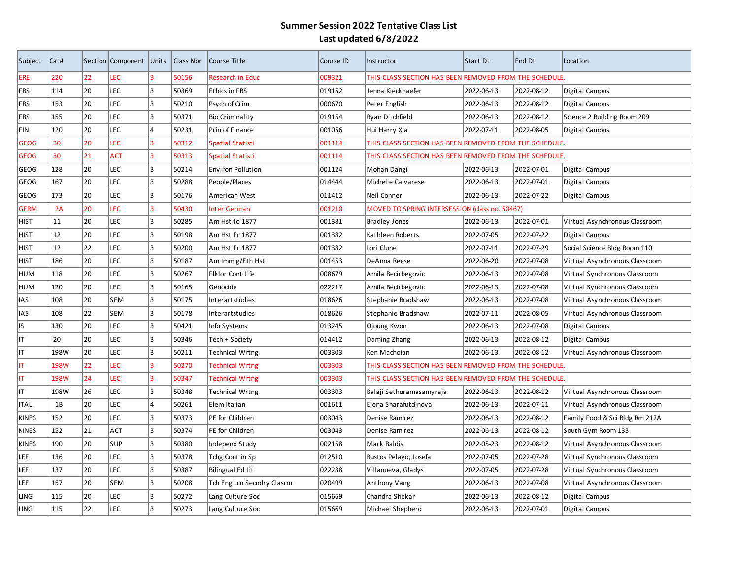| Subject      | Cat#        |    | Section Component Units |                | Class Nbr | Course Title               | Course ID | Instructor                                             | Start Dt                                               | End Dt     | Location                       |  |  |  |
|--------------|-------------|----|-------------------------|----------------|-----------|----------------------------|-----------|--------------------------------------------------------|--------------------------------------------------------|------------|--------------------------------|--|--|--|
| <b>ERE</b>   | 220         | 22 | LEC                     | l3             | 50156     | <b>Research in Educ</b>    | 009321    |                                                        | THIS CLASS SECTION HAS BEEN REMOVED FROM THE SCHEDULE. |            |                                |  |  |  |
| <b>FBS</b>   | 114         | 20 | LEC                     | 3              | 50369     | <b>Ethics in FBS</b>       | 019152    | Jenna Kieckhaefer                                      | 2022-06-13                                             | 2022-08-12 | Digital Campus                 |  |  |  |
| FBS          | 153         | 20 | LEC                     | 3              | 50210     | Psych of Crim              | 000670    | Peter English                                          | 2022-06-13                                             | 2022-08-12 | Digital Campus                 |  |  |  |
| FBS          | 155         | 20 | <b>LEC</b>              | 3              | 50371     | <b>Bio Criminality</b>     | 019154    | Ryan Ditchfield                                        | 2022-06-13                                             | 2022-08-12 | Science 2 Building Room 209    |  |  |  |
| <b>FIN</b>   | 120         | 20 | LEC                     | $\overline{4}$ | 50231     | Prin of Finance            | 001056    | Hui Harry Xia                                          | 2022-07-11                                             | 2022-08-05 | Digital Campus                 |  |  |  |
| <b>GEOG</b>  | 30          | 20 | LEC                     | в              | 50312     | <b>Spatial Statisti</b>    | 001114    | THIS CLASS SECTION HAS BEEN REMOVED FROM THE SCHEDULE. |                                                        |            |                                |  |  |  |
| <b>GEOG</b>  | 30          | 21 | <b>ACT</b>              | 3              | 50313     | <b>Spatial Statisti</b>    | 001114    | THIS CLASS SECTION HAS BEEN REMOVED FROM THE SCHEDULE. |                                                        |            |                                |  |  |  |
| GEOG         | 128         | 20 | LEC                     | 3              | 50214     | <b>Environ Pollution</b>   | 001124    | Mohan Dangi                                            | 2022-06-13                                             | 2022-07-01 | Digital Campus                 |  |  |  |
| GEOG         | 167         | 20 | <b>LEC</b>              | 3              | 50288     | People/Places              | 014444    | Michelle Calvarese                                     | 2022-06-13                                             | 2022-07-01 | Digital Campus                 |  |  |  |
| <b>GEOG</b>  | 173         | 20 | <b>LEC</b>              | 3              | 50176     | American West              | 011412    | Neil Conner                                            | 2022-06-13                                             | 2022-07-22 | Digital Campus                 |  |  |  |
| <b>GERM</b>  | 2A          | 20 | LEC                     | R              | 50430     | <b>Inter German</b>        | 001210    | MOVED TO SPRING INTERSESSION (class no. 50467)         |                                                        |            |                                |  |  |  |
| <b>HIST</b>  | 11          | 20 | LEC                     | 3              | 50285     | Am Hst to 1877             | 001381    | <b>Bradley Jones</b>                                   | 2022-06-13                                             | 2022-07-01 | Virtual Asynchronous Classroom |  |  |  |
| <b>HIST</b>  | 12          | 20 | LEC                     | 3              | 50198     | Am Hst Fr 1877             | 001382    | Kathleen Roberts                                       | 2022-07-05                                             | 2022-07-22 | Digital Campus                 |  |  |  |
| <b>HIST</b>  | 12          | 22 | LEC                     | $\overline{3}$ | 50200     | Am Hst Fr 1877             | 001382    | Lori Clune                                             | 2022-07-11                                             | 2022-07-29 | Social Science Bldg Room 110   |  |  |  |
| <b>HIST</b>  | 186         | 20 | LEC                     | 3              | 50187     | Am Immig/Eth Hst           | 001453    | DeAnna Reese                                           | 2022-06-20                                             | 2022-07-08 | Virtual Asynchronous Classroom |  |  |  |
| <b>HUM</b>   | 118         | 20 | <b>LEC</b>              | 3              | 50267     | Fiklor Cont Life           | 008679    | Amila Becirbegovic                                     | 2022-06-13                                             | 2022-07-08 | Virtual Synchronous Classroom  |  |  |  |
| <b>HUM</b>   | 120         | 20 | LEC                     | <sup>3</sup>   | 50165     | Genocide                   | 022217    | Amila Becirbegovic                                     | 2022-06-13                                             | 2022-07-08 | Virtual Synchronous Classroom  |  |  |  |
| <b>IAS</b>   | 108         | 20 | <b>SEM</b>              | 3              | 50175     | Interartstudies            | 018626    | Stephanie Bradshaw                                     | 2022-06-13                                             | 2022-07-08 | Virtual Asynchronous Classroom |  |  |  |
| <b>IAS</b>   | 108         | 22 | <b>SEM</b>              | 3              | 50178     | Interartstudies            | 018626    | Stephanie Bradshaw                                     | 2022-07-11                                             | 2022-08-05 | Virtual Asynchronous Classroom |  |  |  |
| IS           | 130         | 20 | LEC                     | 3              | 50421     | Info Systems               | 013245    | Ojoung Kwon                                            | 2022-06-13                                             | 2022-07-08 | Digital Campus                 |  |  |  |
| IT           | 20          | 20 | LEC                     | 3              | 50346     | Tech + Society             | 014412    | Daming Zhang                                           | 2022-06-13                                             | 2022-08-12 | Digital Campus                 |  |  |  |
| IT           | 198W        | 20 | <b>LEC</b>              | 3              | 50211     | <b>Technical Wrtng</b>     | 003303    | Ken Machoian                                           | 2022-06-13                                             | 2022-08-12 | Virtual Asynchronous Classroom |  |  |  |
| IT           | <b>198W</b> | 22 | LEC                     | R              | 50270     | <b>Technical Wrtng</b>     | 003303    | THIS CLASS SECTION HAS BEEN REMOVED FROM THE SCHEDULE. |                                                        |            |                                |  |  |  |
| IT           | 198W        | 24 | LEC                     | 3              | 50347     | <b>Technical Wrtng</b>     | 003303    | THIS CLASS SECTION HAS BEEN REMOVED FROM THE SCHEDULE. |                                                        |            |                                |  |  |  |
| IT           | 198W        | 26 | LEC                     | 3              | 50348     | Technical Wrtng            | 003303    | Balaji Sethuramasamyraja                               | 2022-06-13                                             | 2022-08-12 | Virtual Asynchronous Classroom |  |  |  |
| <b>ITAL</b>  | 1B          | 20 | LEC                     | $\overline{4}$ | 50261     | Elem Italian               | 001611    | Elena Sharafutdinova                                   | 2022-06-13                                             | 2022-07-11 | Virtual Asynchronous Classroom |  |  |  |
| <b>KINES</b> | 152         | 20 | <b>LEC</b>              | 3              | 50373     | PE for Children            | 003043    | Denise Ramirez                                         | 2022-06-13                                             | 2022-08-12 | Family Food & Sci Bldg Rm 212A |  |  |  |
| <b>KINES</b> | 152         | 21 | ACT                     | lз             | 50374     | PE for Children            | 003043    | Denise Ramirez                                         | 2022-06-13                                             | 2022-08-12 | South Gym Room 133             |  |  |  |
| <b>KINES</b> | 190         | 20 | SUP                     | 3              | 50380     | Independ Study             | 002158    | Mark Baldis                                            | 2022-05-23                                             | 2022-08-12 | Virtual Asynchronous Classroom |  |  |  |
| <b>LEE</b>   | 136         | 20 | LEC                     | 3              | 50378     | Tchg Cont in Sp            | 012510    | Bustos Pelayo, Josefa                                  | 2022-07-05                                             | 2022-07-28 | Virtual Synchronous Classroom  |  |  |  |
| <b>LEE</b>   | 137         | 20 | LEC                     | 3              | 50387     | Bilingual Ed Lit           | 022238    | Villanueva, Gladys                                     | 2022-07-05                                             | 2022-07-28 | Virtual Synchronous Classroom  |  |  |  |
| LEE          | 157         | 20 | <b>SEM</b>              | 3              | 50208     | Tch Eng Lrn Secndry Clasrm | 020499    | Anthony Vang                                           | 2022-06-13                                             | 2022-07-08 | Virtual Asynchronous Classroom |  |  |  |
| <b>LING</b>  | 115         | 20 | <b>LEC</b>              | 3              | 50272     | Lang Culture Soc           | 015669    | Chandra Shekar                                         | 2022-06-13                                             | 2022-08-12 | Digital Campus                 |  |  |  |
| <b>LING</b>  | 115         | 22 | LEC                     | 3              | 50273     | Lang Culture Soc           | 015669    | Michael Shepherd                                       | 2022-06-13                                             | 2022-07-01 | Digital Campus                 |  |  |  |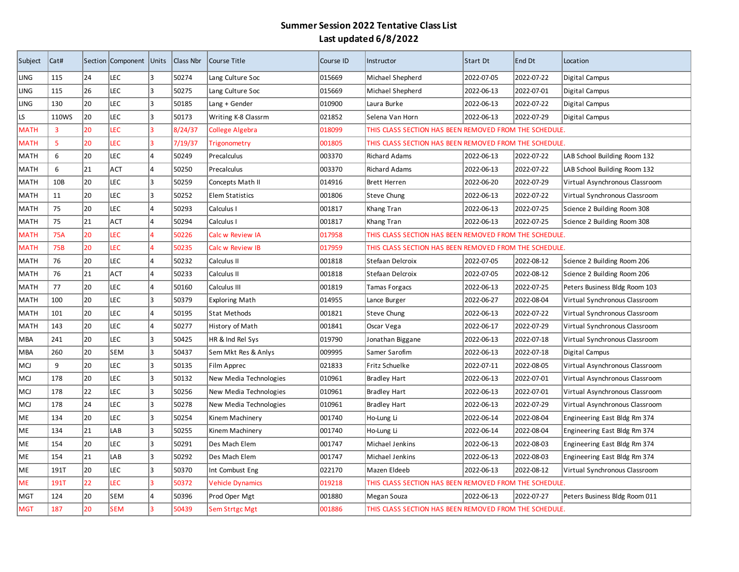| Subject     | Cat#            |    | Section Component Units |     | Class Nbr | Course Title            | Course ID | Instructor                                             | Start Dt   | End Dt     | Location                       |  |
|-------------|-----------------|----|-------------------------|-----|-----------|-------------------------|-----------|--------------------------------------------------------|------------|------------|--------------------------------|--|
| LING        | 115             | 24 | LEC                     | 3   | 50274     | Lang Culture Soc        | 015669    | Michael Shepherd                                       | 2022-07-05 | 2022-07-22 | Digital Campus                 |  |
| LING        | 115             | 26 | LEC                     | l3. | 50275     | Lang Culture Soc        | 015669    | Michael Shepherd                                       | 2022-06-13 | 2022-07-01 | Digital Campus                 |  |
| LING        | 130             | 20 | LEC                     | l3  | 50185     | Lang + Gender           | 010900    | Laura Burke                                            | 2022-06-13 | 2022-07-22 | Digital Campus                 |  |
| LS          | 110WS           | 20 | LEC                     | 3   | 50173     | Writing K-8 Classrm     | 021852    | Selena Van Horn                                        | 2022-06-13 | 2022-07-29 | Digital Campus                 |  |
| <b>MATH</b> | 3               | 20 | LEC                     | l3  | 8/24/37   | <b>College Algebra</b>  | 018099    | THIS CLASS SECTION HAS BEEN REMOVED FROM THE SCHEDULE. |            |            |                                |  |
| <b>MATH</b> | 5               | 20 | LEC                     | ß   | 7/19/37   | Trigonometry            | 001805    | THIS CLASS SECTION HAS BEEN REMOVED FROM THE SCHEDULE. |            |            |                                |  |
| MATH        | 6               | 20 | LEC                     | l4  | 50249     | Precalculus             | 003370    | <b>Richard Adams</b>                                   | 2022-06-13 | 2022-07-22 | LAB School Building Room 132   |  |
| MATH        | 6               | 21 | ACT                     | l4  | 50250     | Precalculus             | 003370    | <b>Richard Adams</b>                                   | 2022-06-13 | 2022-07-22 | LAB School Building Room 132   |  |
| MATH        | 10 <sub>B</sub> | 20 | LEC                     | 3   | 50259     | Concepts Math II        | 014916    | <b>Brett Herren</b>                                    | 2022-06-20 | 2022-07-29 | Virtual Asynchronous Classroom |  |
| MATH        | 11              | 20 | LEC                     | l3  | 50252     | <b>Elem Statistics</b>  | 001806    | Steve Chung                                            | 2022-06-13 | 2022-07-22 | Virtual Synchronous Classroom  |  |
| MATH        | 75              | 20 | LEC                     | 14  | 50293     | Calculus I              | 001817    | Khang Tran                                             | 2022-06-13 | 2022-07-25 | Science 2 Building Room 308    |  |
| MATH        | 75              | 21 | ACT                     | 14  | 50294     | Calculus I              | 001817    | Khang Tran                                             | 2022-06-13 | 2022-07-25 | Science 2 Building Room 308    |  |
| MATH        | <b>75A</b>      | 20 | LEC                     | l4  | 50226     | Calc w Review IA        | 017958    | THIS CLASS SECTION HAS BEEN REMOVED FROM THE SCHEDULE. |            |            |                                |  |
| MATH        | 75B             | 20 | LEC                     | l4  | 50235     | <b>Calc w Review IB</b> | 017959    | THIS CLASS SECTION HAS BEEN REMOVED FROM THE SCHEDULE. |            |            |                                |  |
| <b>MATH</b> | 76              | 20 | LEC                     | 14  | 50232     | Calculus II             | 001818    | Stefaan Delcroix                                       | 2022-07-05 | 2022-08-12 | Science 2 Building Room 206    |  |
| <b>MATH</b> | 76              | 21 | <b>ACT</b>              | 14  | 50233     | Calculus II             | 001818    | Stefaan Delcroix                                       | 2022-07-05 | 2022-08-12 | Science 2 Building Room 206    |  |
| MATH        | 77              | 20 | LEC                     | l4  | 50160     | Calculus III            | 001819    | <b>Tamas Forgacs</b>                                   | 2022-06-13 | 2022-07-25 | Peters Business Bldg Room 103  |  |
| MATH        | 100             | 20 | LEC                     | l3  | 50379     | Exploring Math          | 014955    | Lance Burger                                           | 2022-06-27 | 2022-08-04 | Virtual Synchronous Classroom  |  |
| MATH        | 101             | 20 | LEC                     | l4  | 50195     | Stat Methods            | 001821    | Steve Chung                                            | 2022-06-13 | 2022-07-22 | Virtual Synchronous Classroom  |  |
| MATH        | 143             | 20 | LEC                     | 14  | 50277     | History of Math         | 001841    | Oscar Vega                                             | 2022-06-17 | 2022-07-29 | Virtual Synchronous Classroom  |  |
| MBA         | 241             | 20 | LEC                     | l3  | 50425     | HR & Ind Rel Sys        | 019790    | Jonathan Biggane                                       | 2022-06-13 | 2022-07-18 | Virtual Synchronous Classroom  |  |
| MBA         | 260             | 20 | SEM                     | l3  | 50437     | Sem Mkt Res & Anlys     | 009995    | Samer Sarofim                                          | 2022-06-13 | 2022-07-18 | Digital Campus                 |  |
| МCІ         | 9               | 20 | LEC                     | lз  | 50135     | Film Apprec             | 021833    | Fritz Schuelke                                         | 2022-07-11 | 2022-08-05 | Virtual Asynchronous Classroom |  |
| MCJ         | 178             | 20 | LEC                     | lз  | 50132     | New Media Technologies  | 010961    | Bradley Hart                                           | 2022-06-13 | 2022-07-01 | Virtual Asynchronous Classroom |  |
| МCІ         | 178             | 22 | <b>LEC</b>              | l3  | 50256     | New Media Technologies  | 010961    | <b>Bradley Hart</b>                                    | 2022-06-13 | 2022-07-01 | Virtual Asynchronous Classroom |  |
| <b>MCJ</b>  | 178             | 24 | <b>LEC</b>              | 3   | 50278     | New Media Technologies  | 010961    | Bradley Hart                                           | 2022-06-13 | 2022-07-29 | Virtual Asynchronous Classroom |  |
| ME          | 134             | 20 | LEC                     | lз  | 50254     | Kinem Machinery         | 001740    | Ho-Lung Li                                             | 2022-06-14 | 2022-08-04 | Engineering East Bldg Rm 374   |  |
| <b>ME</b>   | 134             | 21 | LAB                     | l3  | 50255     | Kinem Machinery         | 001740    | Ho-Lung Li                                             | 2022-06-14 | 2022-08-04 | Engineering East Bldg Rm 374   |  |
| ME          | 154             | 20 | LEC                     | l3  | 50291     | Des Mach Elem           | 001747    | Michael Jenkins                                        | 2022-06-13 | 2022-08-03 | Engineering East Bldg Rm 374   |  |
| ME          | 154             | 21 | LAB                     | l3  | 50292     | Des Mach Elem           | 001747    | Michael Jenkins                                        | 2022-06-13 | 2022-08-03 | Engineering East Bldg Rm 374   |  |
| ME          | 191T            | 20 | <b>LEC</b>              | lз  | 50370     | Int Combust Eng         | 022170    | Mazen Eldeeb                                           | 2022-06-13 | 2022-08-12 | Virtual Synchronous Classroom  |  |
| ME          | 191T            | 22 | LEC                     | 13  | 50372     | <b>Vehicle Dynamics</b> | 019218    | THIS CLASS SECTION HAS BEEN REMOVED FROM THE SCHEDULE. |            |            |                                |  |
| <b>MGT</b>  | 124             | 20 | <b>SEM</b>              | 14  | 50396     | Prod Oper Mgt           | 001880    | Megan Souza                                            | 2022-06-13 | 2022-07-27 | Peters Business Bldg Room 011  |  |
| MGT         | 187             | 20 | <b>SEM</b>              | 13  | 50439     | <b>Sem Strtgc Mgt</b>   | 001886    | THIS CLASS SECTION HAS BEEN REMOVED FROM THE SCHEDULE. |            |            |                                |  |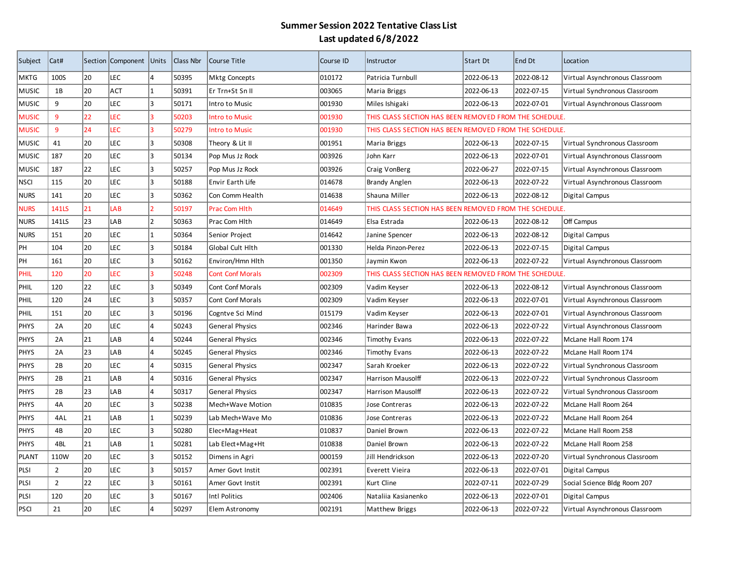| Subject      | Cat#           |    | Section Component | Units     | Class Nbr | Course Title            | Course ID | Instructor                                             | Start Dt   | End Dt     | Location                       |  |
|--------------|----------------|----|-------------------|-----------|-----------|-------------------------|-----------|--------------------------------------------------------|------------|------------|--------------------------------|--|
| MKTG         | 100S           | 20 | LEC               | 4         | 50395     | <b>Mktg Concepts</b>    | 010172    | Patricia Turnbull                                      | 2022-06-13 | 2022-08-12 | Virtual Asynchronous Classroom |  |
| MUSIC        | 1B             | 20 | ACT               | 1         | 50391     | Er Trn+St Sn II         | 003065    | Maria Briggs                                           | 2022-06-13 | 2022-07-15 | Virtual Synchronous Classroom  |  |
| MUSIC        | 9              | 20 | LEC               | l3        | 50171     | Intro to Music          | 001930    | Miles Ishigaki                                         | 2022-06-13 | 2022-07-01 | Virtual Asynchronous Classroom |  |
| <b>MUSIC</b> | 9              | 22 | <b>LEC</b>        | 3         | 50203     | <b>Intro to Music</b>   | 001930    | THIS CLASS SECTION HAS BEEN REMOVED FROM THE SCHEDULE. |            |            |                                |  |
| <b>MUSIC</b> | 9              | 24 | <b>LEC</b>        | 13        | 50279     | <b>Intro to Music</b>   | 001930    | THIS CLASS SECTION HAS BEEN REMOVED FROM THE SCHEDULE. |            |            |                                |  |
| <b>MUSIC</b> | 41             | 20 | <b>LEC</b>        | 3         | 50308     | Theory & Lit II         | 001951    | Maria Briggs                                           | 2022-06-13 | 2022-07-15 | Virtual Synchronous Classroom  |  |
| MUSIC        | 187            | 20 | <b>LEC</b>        | 3         | 50134     | Pop Mus Jz Rock         | 003926    | John Karr                                              | 2022-06-13 | 2022-07-01 | Virtual Asynchronous Classroom |  |
| MUSIC        | 187            | 22 | <b>LEC</b>        | lз        | 50257     | Pop Mus Jz Rock         | 003926    | Craig VonBerg                                          | 2022-06-27 | 2022-07-15 | Virtual Asynchronous Classroom |  |
| nsci         | 115            | 20 | LEC               | 3         | 50188     | Envir Earth Life        | 014678    | <b>Brandy Anglen</b>                                   | 2022-06-13 | 2022-07-22 | Virtual Asynchronous Classroom |  |
| NURS         | 141            | 20 | LEC               | 3         | 50362     | Con Comm Health         | 014638    | Shauna Miller                                          | 2022-06-13 | 2022-08-12 | Digital Campus                 |  |
| <b>NURS</b>  | <b>141LS</b>   | 21 | LAB               | 2         | 50197     | <b>Prac Com Hith</b>    | 014649    | THIS CLASS SECTION HAS BEEN REMOVED FROM THE SCHEDULE. |            |            |                                |  |
| <b>NURS</b>  | 141LS          | 23 | LAB               | $\vert$ 2 | 50363     | Prac Com Hlth           | 014649    | Elsa Estrada                                           | 2022-06-13 | 2022-08-12 | Off Campus                     |  |
| <b>NURS</b>  | 151            | 20 | LEC               | $\vert$ 1 | 50364     | Senior Project          | 014642    | Janine Spencer                                         | 2022-06-13 | 2022-08-12 | Digital Campus                 |  |
| PH           | 104            | 20 | <b>LEC</b>        | l3        | 50184     | Global Cult Hlth        | 001330    | Helda Pinzon-Perez                                     | 2022-06-13 | 2022-07-15 | Digital Campus                 |  |
| PH           | 161            | 20 | LEC               | l3        | 50162     | Environ/Hmn Hlth        | 001350    | Jaymin Kwon                                            | 2022-06-13 | 2022-07-22 | Virtual Asynchronous Classroom |  |
| PHIL         | 120            | 20 | <b>LEC</b>        | lз        | 50248     | <b>Cont Conf Morals</b> | 002309    | THIS CLASS SECTION HAS BEEN REMOVED FROM THE SCHEDULE. |            |            |                                |  |
| PHIL         | 120            | 22 | <b>LEC</b>        | 3         | 50349     | Cont Conf Morals        | 002309    | Vadim Keyser                                           | 2022-06-13 | 2022-08-12 | Virtual Asynchronous Classroom |  |
| PHIL         | 120            | 24 | LEC               | 3         | 50357     | Cont Conf Morals        | 002309    | Vadim Keyser                                           | 2022-06-13 | 2022-07-01 | Virtual Asynchronous Classroom |  |
| PHIL         | 151            | 20 | <b>LEC</b>        | 3         | 50196     | Cogntve Sci Mind        | 015179    | Vadim Keyser                                           | 2022-06-13 | 2022-07-01 | Virtual Asynchronous Classroom |  |
| <b>PHYS</b>  | 2A             | 20 | LEC               | 14        | 50243     | General Physics         | 002346    | Harinder Bawa                                          | 2022-06-13 | 2022-07-22 | Virtual Asynchronous Classroom |  |
| <b>PHYS</b>  | 2A             | 21 | LAB               | 14        | 50244     | <b>General Physics</b>  | 002346    | <b>Timothy Evans</b>                                   | 2022-06-13 | 2022-07-22 | McLane Hall Room 174           |  |
| <b>PHYS</b>  | 2A             | 23 | LAB               | 14        | 50245     | <b>General Physics</b>  | 002346    | Timothy Evans                                          | 2022-06-13 | 2022-07-22 | McLane Hall Room 174           |  |
| <b>PHYS</b>  | 2B             | 20 | LEC               | 14        | 50315     | General Physics         | 002347    | Sarah Kroeker                                          | 2022-06-13 | 2022-07-22 | Virtual Synchronous Classroom  |  |
| <b>PHYS</b>  | 2B             | 21 | LAB               | l4        | 50316     | <b>General Physics</b>  | 002347    | Harrison Mausolff                                      | 2022-06-13 | 2022-07-22 | Virtual Synchronous Classroom  |  |
| PHYS         | 2B             | 23 | LAB               | l4        | 50317     | General Physics         | 002347    | Harrison Mausolff                                      | 2022-06-13 | 2022-07-22 | Virtual Synchronous Classroom  |  |
| PHYS         | 4A             | 20 | LEC               | l3        | 50238     | Mech+Wave Motion        | 010835    | Jose Contreras                                         | 2022-06-13 | 2022-07-22 | McLane Hall Room 264           |  |
| PHYS         | 4AL            | 21 | LAB               | 1         | 50239     | Lab Mech+Wave Mo        | 010836    | Jose Contreras                                         | 2022-06-13 | 2022-07-22 | McLane Hall Room 264           |  |
| PHYS         | 4B             | 20 | <b>LEC</b>        | 3         | 50280     | Elec+Mag+Heat           | 010837    | Daniel Brown                                           | 2022-06-13 | 2022-07-22 | McLane Hall Room 258           |  |
| PHYS         | 4BL            | 21 | LAB               | 1         | 50281     | Lab Elect+Mag+Ht        | 010838    | Daniel Brown                                           | 2022-06-13 | 2022-07-22 | McLane Hall Room 258           |  |
| PLANT        | 110W           | 20 | <b>LEC</b>        | 3         | 50152     | Dimens in Agri          | 000159    | Jill Hendrickson                                       | 2022-06-13 | 2022-07-20 | Virtual Synchronous Classroom  |  |
| PLSI         | $\overline{2}$ | 20 | <b>LEC</b>        | 3         | 50157     | Amer Govt Instit        | 002391    | Everett Vieira                                         | 2022-06-13 | 2022-07-01 | Digital Campus                 |  |
| PLSI         | $\overline{2}$ | 22 | LEC               | 3         | 50161     | Amer Govt Instit        | 002391    | Kurt Cline                                             | 2022-07-11 | 2022-07-29 | Social Science Bldg Room 207   |  |
| PLSI         | 120            | 20 | <b>LEC</b>        | 3         | 50167     | Intl Politics           | 002406    | Nataliia Kasianenko                                    | 2022-06-13 | 2022-07-01 | Digital Campus                 |  |
| <b>PSCI</b>  | 21             | 20 | <b>LEC</b>        | 4         | 50297     | Elem Astronomy          | 002191    | Matthew Briggs                                         | 2022-06-13 | 2022-07-22 | Virtual Asynchronous Classroom |  |